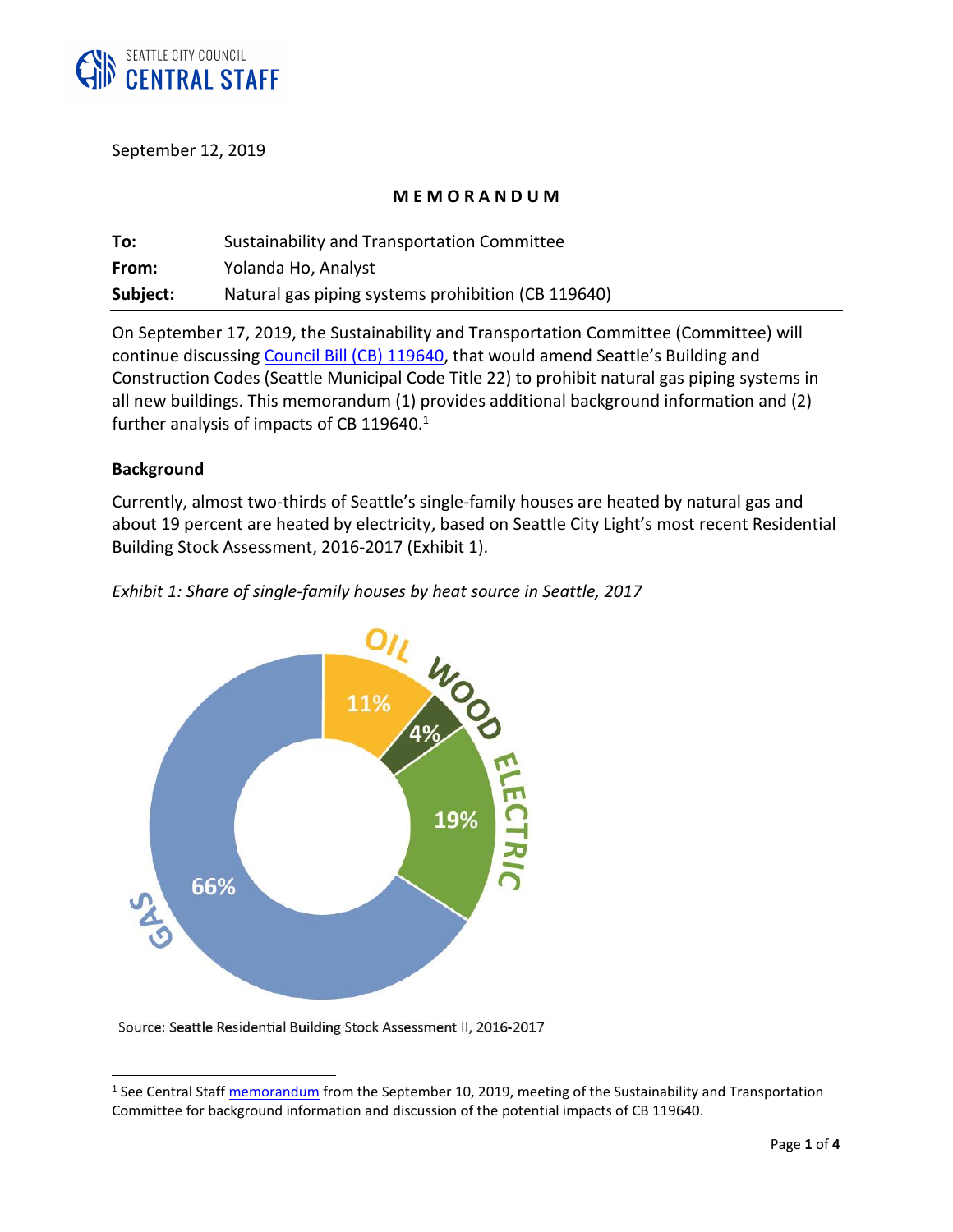

September 12, 2019

#### **M E M O R A N D U M**

| To:      | Sustainability and Transportation Committee        |
|----------|----------------------------------------------------|
| From:    | Yolanda Ho, Analyst                                |
| Subject: | Natural gas piping systems prohibition (CB 119640) |

On September 17, 2019, the Sustainability and Transportation Committee (Committee) will continue discussing [Council Bill \(CB\) 119640,](http://seattle.legistar.com/gateway.aspx?m=l&id=/matter.aspx?key=9066) that would amend Seattle's Building and Construction Codes (Seattle Municipal Code Title 22) to prohibit natural gas piping systems in all new buildings. This memorandum (1) provides additional background information and (2) further analysis of impacts of CB 119640.<sup>1</sup>

#### **Background**

 $\overline{a}$ 

Currently, almost two-thirds of Seattle's single-family houses are heated by natural gas and about 19 percent are heated by electricity, based on Seattle City Light's most recent Residential Building Stock Assessment, 2016-2017 (Exhibit 1).





Source: Seattle Residential Building Stock Assessment II, 2016-2017

<sup>&</sup>lt;sup>1</sup> See Central Staff *memorandum* from the September 10, 2019, meeting of the Sustainability and Transportation Committee for background information and discussion of the potential impacts of CB 119640.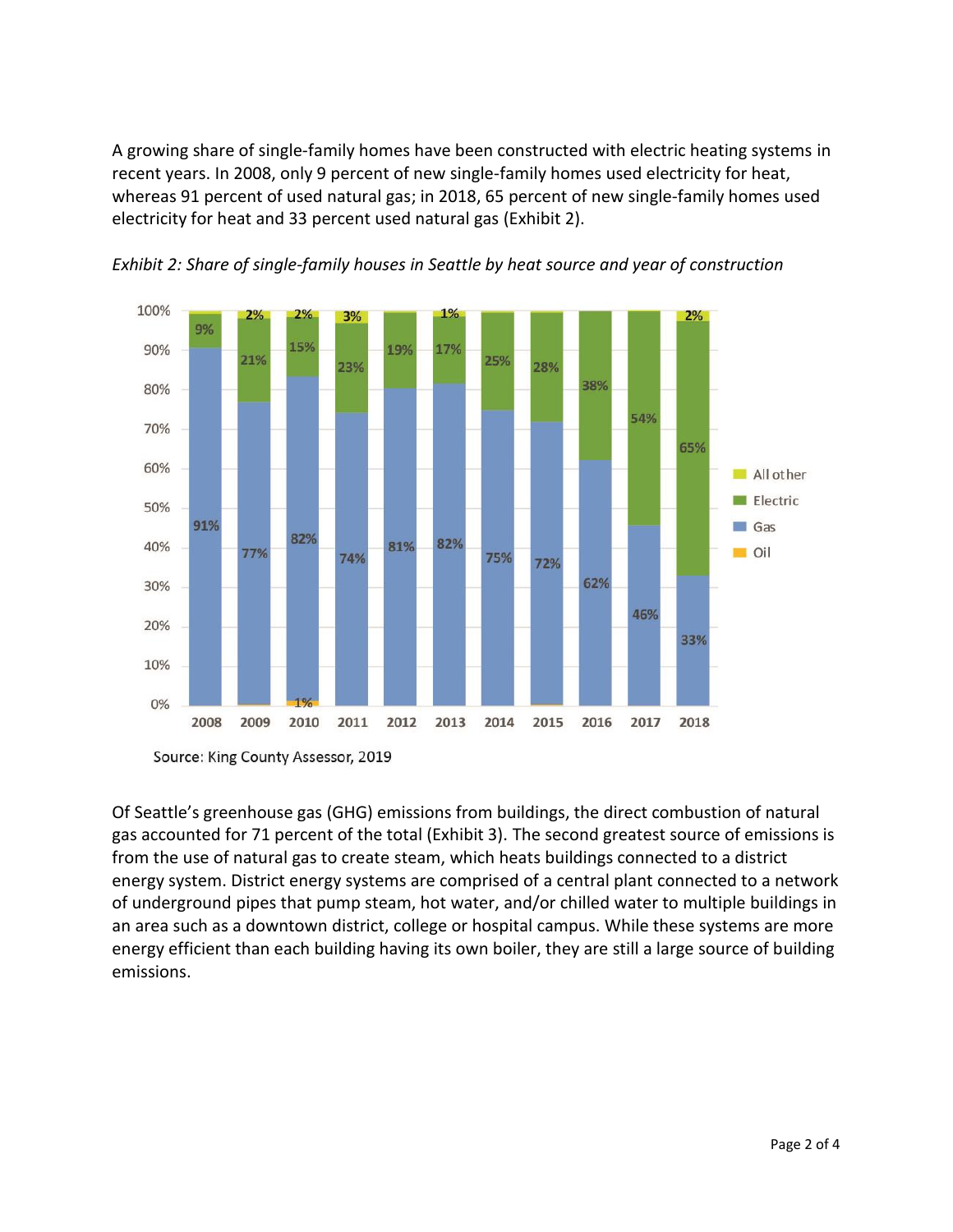A growing share of single-family homes have been constructed with electric heating systems in recent years. In 2008, only 9 percent of new single-family homes used electricity for heat, whereas 91 percent of used natural gas; in 2018, 65 percent of new single-family homes used electricity for heat and 33 percent used natural gas (Exhibit 2).



*Exhibit 2: Share of single-family houses in Seattle by heat source and year of construction*

Of Seattle's greenhouse gas (GHG) emissions from buildings, the direct combustion of natural gas accounted for 71 percent of the total (Exhibit 3). The second greatest source of emissions is from the use of natural gas to create steam, which heats buildings connected to a district energy system. District energy systems are comprised of a central plant connected to a network of underground pipes that pump steam, hot water, and/or chilled water to multiple buildings in an area such as a downtown district, college or hospital campus. While these systems are more energy efficient than each building having its own boiler, they are still a large source of building emissions.

Source: King County Assessor, 2019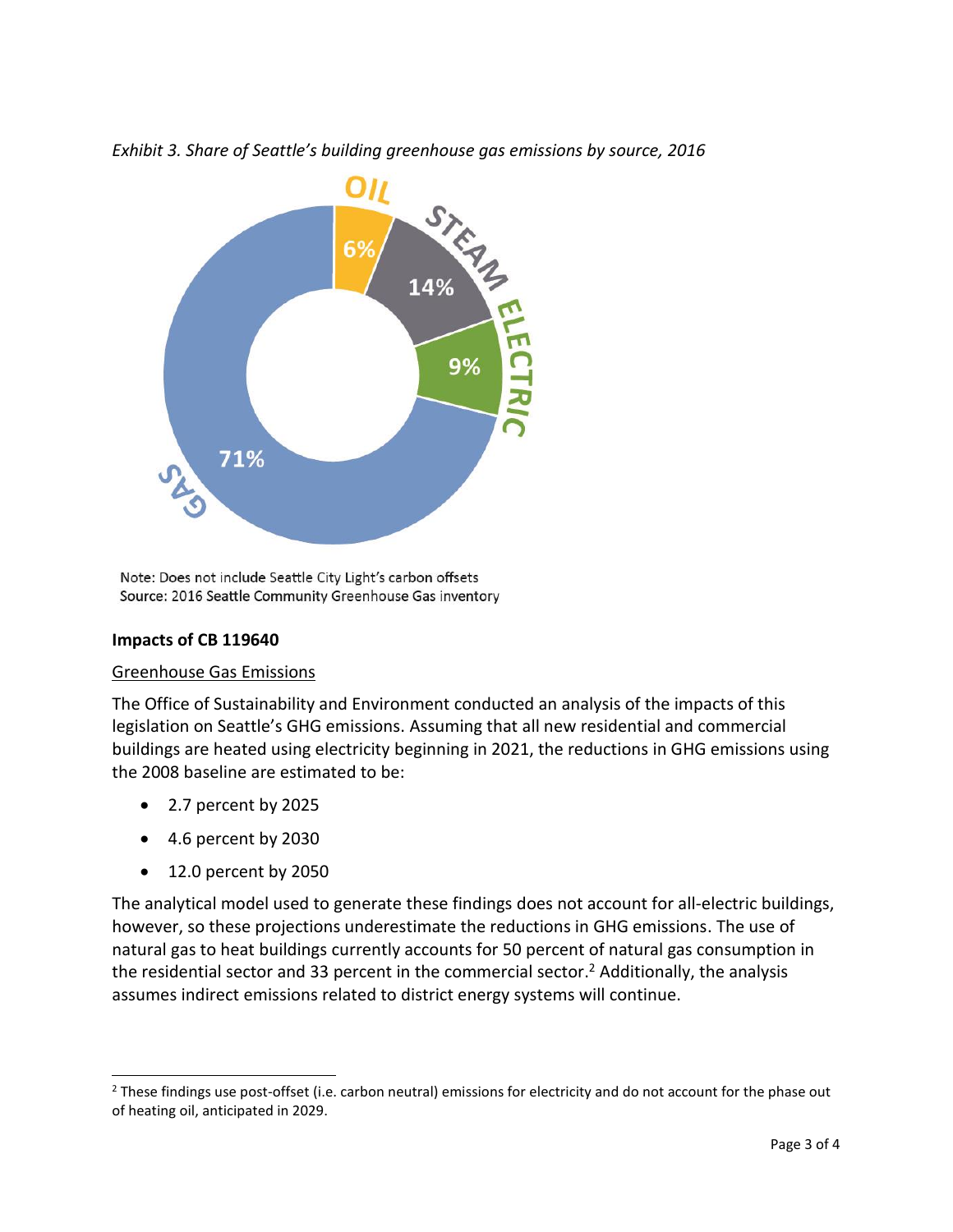



Note: Does not include Seattle City Light's carbon offsets Source: 2016 Seattle Community Greenhouse Gas inventory

## **Impacts of CB 119640**

## Greenhouse Gas Emissions

The Office of Sustainability and Environment conducted an analysis of the impacts of this legislation on Seattle's GHG emissions. Assuming that all new residential and commercial buildings are heated using electricity beginning in 2021, the reductions in GHG emissions using the 2008 baseline are estimated to be:

- 2.7 percent by 2025
- 4.6 percent by 2030
- 12.0 percent by 2050

 $\overline{a}$ 

The analytical model used to generate these findings does not account for all-electric buildings, however, so these projections underestimate the reductions in GHG emissions. The use of natural gas to heat buildings currently accounts for 50 percent of natural gas consumption in the residential sector and 33 percent in the commercial sector. <sup>2</sup> Additionally, the analysis assumes indirect emissions related to district energy systems will continue.

<sup>&</sup>lt;sup>2</sup> These findings use post-offset (i.e. carbon neutral) emissions for electricity and do not account for the phase out of heating oil, anticipated in 2029.